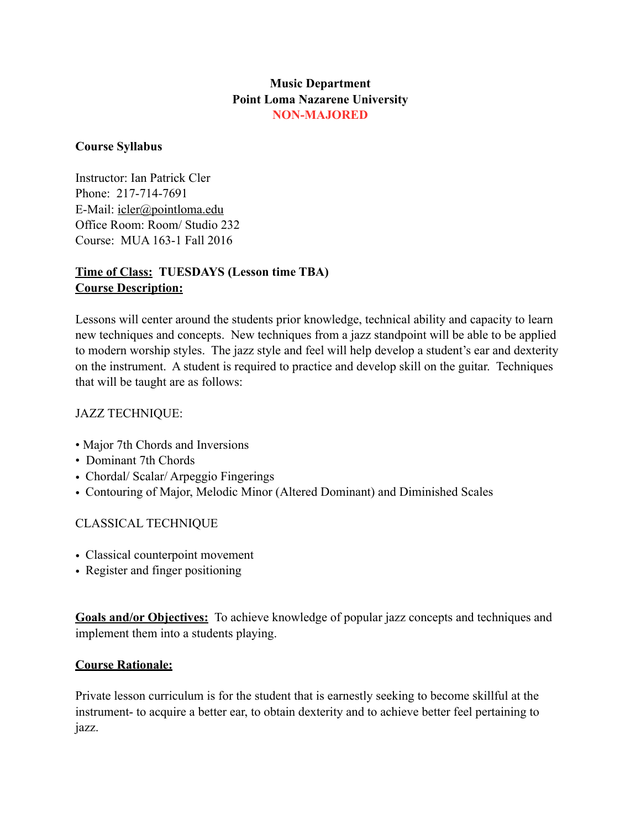## **Music Department Point Loma Nazarene University NON-MAJORED**

### **Course Syllabus**

Instructor: Ian Patrick Cler Phone: 217-714-7691 E-Mail: [icler@pointloma.edu](mailto:icler@pointloma.edu) Office Room: Room/ Studio 232 Course: MUA 163-1 Fall 2016

## **Time of Class: TUESDAYS (Lesson time TBA) Course Description:**

Lessons will center around the students prior knowledge, technical ability and capacity to learn new techniques and concepts. New techniques from a jazz standpoint will be able to be applied to modern worship styles. The jazz style and feel will help develop a student's ear and dexterity on the instrument. A student is required to practice and develop skill on the guitar. Techniques that will be taught are as follows:

## JAZZ TECHNIQUE:

- Major 7th Chords and Inversions
- Dominant 7th Chords
- Chordal/ Scalar/ Arpeggio Fingerings
- Contouring of Major, Melodic Minor (Altered Dominant) and Diminished Scales

## CLASSICAL TECHNIQUE

- Classical counterpoint movement
- Register and finger positioning

**Goals and/or Objectives:** To achieve knowledge of popular jazz concepts and techniques and implement them into a students playing.

### **Course Rationale:**

Private lesson curriculum is for the student that is earnestly seeking to become skillful at the instrument- to acquire a better ear, to obtain dexterity and to achieve better feel pertaining to jazz.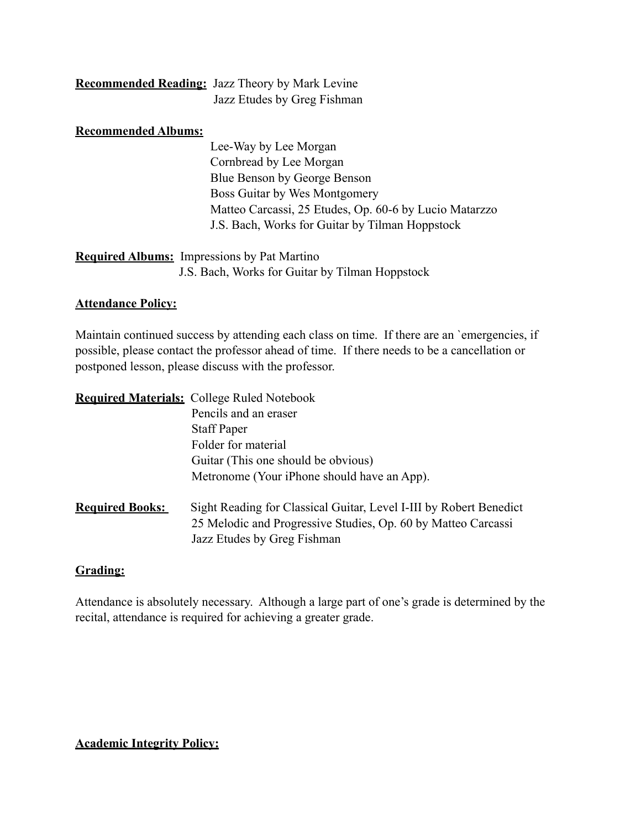| <b>Recommended Reading:</b> Jazz Theory by Mark Levine |
|--------------------------------------------------------|
| Jazz Etudes by Greg Fishman                            |

#### **Recommended Albums:**

 Lee-Way by Lee Morgan Cornbread by Lee Morgan Blue Benson by George Benson Boss Guitar by Wes Montgomery Matteo Carcassi, 25 Etudes, Op. 60-6 by Lucio Matarzzo J.S. Bach, Works for Guitar by Tilman Hoppstock

# **Required Albums:** Impressions by Pat Martino J.S. Bach, Works for Guitar by Tilman Hoppstock

#### **Attendance Policy:**

Maintain continued success by attending each class on time. If there are an `emergencies, if possible, please contact the professor ahead of time. If there needs to be a cancellation or postponed lesson, please discuss with the professor.

|                        | <b>Required Materials:</b> College Ruled Notebook                                                                                                                  |
|------------------------|--------------------------------------------------------------------------------------------------------------------------------------------------------------------|
|                        | Pencils and an eraser                                                                                                                                              |
|                        | <b>Staff Paper</b>                                                                                                                                                 |
|                        | Folder for material                                                                                                                                                |
|                        | Guitar (This one should be obvious)                                                                                                                                |
|                        | Metronome (Your iPhone should have an App).                                                                                                                        |
| <b>Required Books:</b> | Sight Reading for Classical Guitar, Level I-III by Robert Benedict<br>25 Melodic and Progressive Studies, Op. 60 by Matteo Carcassi<br>Jazz Etudes by Greg Fishman |

### **Grading:**

Attendance is absolutely necessary. Although a large part of one's grade is determined by the recital, attendance is required for achieving a greater grade.

#### **Academic Integrity Policy:**